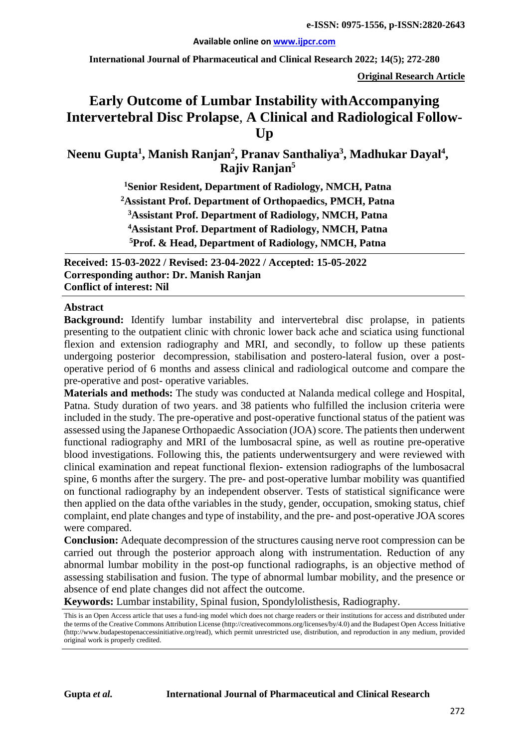#### **Available online on [www.ijpcr.com](http://www.ijpcr.com/)**

**International Journal of Pharmaceutical and Clinical Research 2022; 14(5); 272-280**

**Original Research Article**

# **Early Outcome of Lumbar Instability withAccompanying Intervertebral Disc Prolapse**, **A Clinical and Radiological Follow-Up**

Neenu Gupta<sup>1</sup>, Manish Ranjan<sup>2</sup>, Pranav Santhaliya<sup>3</sup>, Madhukar Dayal<sup>4</sup>, **Rajiv Ranjan5**

> **1Senior Resident, Department of Radiology, NMCH, Patna 2Assistant Prof. Department of Orthopaedics, PMCH, Patna 3Assistant Prof. Department of Radiology, NMCH, Patna 4 Assistant Prof. Department of Radiology, NMCH, Patna 5Prof. & Head, Department of Radiology, NMCH, Patna**

**Received: 15-03-2022 / Revised: 23-04-2022 / Accepted: 15-05-2022 Corresponding author: Dr. Manish Ranjan Conflict of interest: Nil**

#### **Abstract**

**Background:** Identify lumbar instability and intervertebral disc prolapse, in patients presenting to the outpatient clinic with chronic lower back ache and sciatica using functional flexion and extension radiography and MRI, and secondly, to follow up these patients undergoing posterior decompression, stabilisation and postero-lateral fusion, over a postoperative period of 6 months and assess clinical and radiological outcome and compare the pre-operative and post- operative variables.

**Materials and methods:** The study was conducted at Nalanda medical college and Hospital, Patna. Study duration of two years. and 38 patients who fulfilled the inclusion criteria were included in the study. The pre-operative and post-operative functional status of the patient was assessed using the Japanese Orthopaedic Association (JOA) score. The patients then underwent functional radiography and MRI of the lumbosacral spine, as well as routine pre-operative blood investigations. Following this, the patients underwentsurgery and were reviewed with clinical examination and repeat functional flexion- extension radiographs of the lumbosacral spine, 6 months after the surgery. The pre- and post-operative lumbar mobility was quantified on functional radiography by an independent observer. Tests of statistical significance were then applied on the data of the variables in the study, gender, occupation, smoking status, chief complaint, end plate changes and type of instability, and the pre- and post-operative JOA scores were compared.

**Conclusion:** Adequate decompression of the structures causing nerve root compression can be carried out through the posterior approach along with instrumentation. Reduction of any abnormal lumbar mobility in the post-op functional radiographs, is an objective method of assessing stabilisation and fusion. The type of abnormal lumbar mobility, and the presence or absence of end plate changes did not affect the outcome.

**Keywords:** Lumbar instability, Spinal fusion, Spondylolisthesis, Radiography.

This is an Open Access article that uses a fund-ing model which does not charge readers or their institutions for access and distributed under the terms of the Creative Commons Attribution License (http://creativecommons.org/licenses/by/4.0) and the Budapest Open Access Initiative (http://www.budapestopenaccessinitiative.org/read), which permit unrestricted use, distribution, and reproduction in any medium, provided original work is properly credited.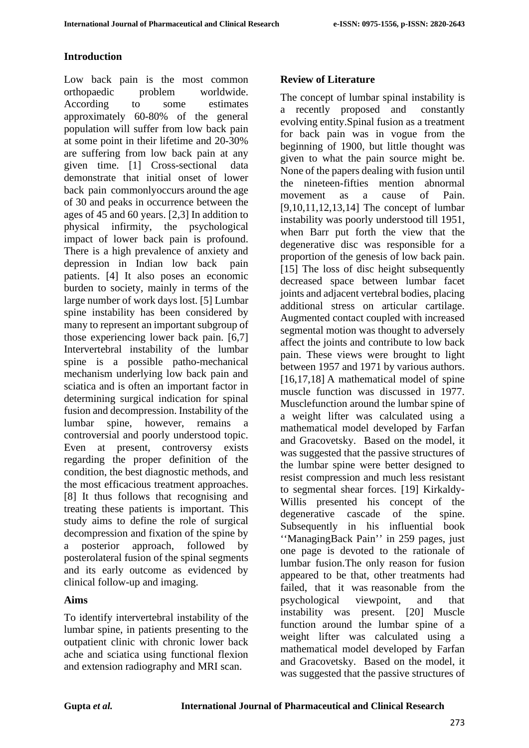# **Introduction**

Low back pain is the most common orthopaedic problem worldwide. According to some estimates approximately 60-80% of the general population will suffer from low back pain at some point in their lifetime and 20-30% are suffering from low back pain at any given time. [1] Cross-sectional data demonstrate that initial onset of lower back pain commonlyoccurs around the age of 30 and peaks in occurrence between the ages of 45 and 60 years. [2,3] In addition to physical infirmity, the psychological impact of lower back pain is profound. There is a high prevalence of anxiety and depression in Indian low back pain patients. [4] It also poses an economic burden to society, mainly in terms of the large number of work days lost. [5] Lumbar spine instability has been considered by many to represent an important subgroup of those experiencing lower back pain. [6,7] Intervertebral instability of the lumbar spine is a possible patho-mechanical mechanism underlying low back pain and sciatica and is often an important factor in determining surgical indication for spinal fusion and decompression. Instability of the lumbar spine, however, remains a controversial and poorly understood topic. Even at present, controversy exists regarding the proper definition of the condition, the best diagnostic methods, and the most efficacious treatment approaches. [8] It thus follows that recognising and treating these patients is important. This study aims to define the role of surgical decompression and fixation of the spine by a posterior approach, followed by posterolateral fusion of the spinal segments and its early outcome as evidenced by clinical follow-up and imaging.

## **Aims**

To identify intervertebral instability of the lumbar spine, in patients presenting to the outpatient clinic with chronic lower back ache and sciatica using functional flexion and extension radiography and MRI scan.

# **Review of Literature**

The concept of lumbar spinal instability is a recently proposed and constantly evolving entity.Spinal fusion as a treatment for back pain was in vogue from the beginning of 1900, but little thought was given to what the pain source might be. None of the papers dealing with fusion until the nineteen-fifties mention abnormal movement as a cause of Pain. [9,10,11,12,13,14] The concept of lumbar instability was poorly understood till 1951, when Barr put forth the view that the degenerative disc was responsible for a proportion of the genesis of low back pain. [15] The loss of disc height subsequently decreased space between lumbar facet joints and adjacent vertebral bodies, placing additional stress on articular cartilage. Augmented contact coupled with increased segmental motion was thought to adversely affect the joints and contribute to low back pain. These views were brought to light between 1957 and 1971 by various authors. [16,17,18] A mathematical model of spine muscle function was discussed in 1977. Musclefunction around the lumbar spine of a weight lifter was calculated using a mathematical model developed by Farfan and Gracovetsky. Based on the model, it was suggested that the passive structures of the lumbar spine were better designed to resist compression and much less resistant to segmental shear forces. [19] Kirkaldy-Willis presented his concept of the degenerative cascade of the spine. Subsequently in his influential book ''ManagingBack Pain'' in 259 pages, just one page is devoted to the rationale of lumbar fusion.The only reason for fusion appeared to be that, other treatments had failed, that it was reasonable from the psychological viewpoint. and that psychological viewpoint, and that instability was present. [20] Muscle function around the lumbar spine of a weight lifter was calculated using a mathematical model developed by Farfan and Gracovetsky. Based on the model, it was suggested that the passive structures of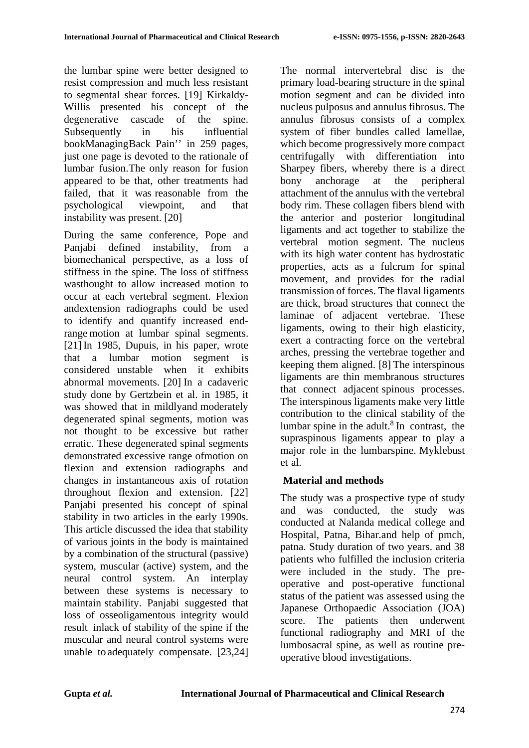the lumbar spine were better designed to resist compression and much less resistant to segmental shear forces. [19] Kirkaldy-Willis presented his concept of the degenerative cascade of the spine. Subsequently in his influential bookManagingBack Pain'' in 259 pages, just one page is devoted to the rationale of lumbar fusion.The only reason for fusion appeared to be that, other treatments had failed, that it was reasonable from the psychological viewpoint, and that instability was present. [20]

During the same conference, Pope and Panjabi defined instability, from a biomechanical perspective, as a loss of stiffness in the spine. The loss of stiffness wasthought to allow increased motion to occur at each vertebral segment. Flexion andextension radiographs could be used to identify and quantify increased endrange motion at lumbar spinal segments. [21] In 1985, Dupuis, in his paper, wrote that a lumbar motion segment is considered unstable when it exhibits abnormal movements. [20] In a cadaveric study done by Gertzbein et al. in 1985, it was showed that in mildlyand moderately degenerated spinal segments, motion was not thought to be excessive but rather erratic. These degenerated spinal segments demonstrated excessive range ofmotion on flexion and extension radiographs and changes in instantaneous axis of rotation throughout flexion and extension. [22] Panjabi presented his concept of spinal stability in two articles in the early 1990s. This article discussed the idea that stability of various joints in the body is maintained by a combination of the structural (passive) system, muscular (active) system, and the neural control system. An interplay between these systems is necessary to maintain stability. Panjabi suggested that loss of osseoligamentous integrity would result inlack of stability of the spine if the muscular and neural control systems were unable to adequately compensate. [23,24] The normal intervertebral disc is the primary load-bearing structure in the spinal motion segment and can be divided into nucleus pulposus and annulus fibrosus. The annulus fibrosus consists of a complex system of fiber bundles called lamellae, which become progressively more compact centrifugally with differentiation into Sharpey fibers, whereby there is a direct bony anchorage at the peripheral attachment of the annulus with the vertebral body rim. These collagen fibers blend with the anterior and posterior longitudinal ligaments and act together to stabilize the vertebral motion segment. The nucleus with its high water content has hydrostatic properties, acts as a fulcrum for spinal movement, and provides for the radial transmission of forces. The flaval ligaments are thick, broad structures that connect the laminae of adjacent vertebrae. These ligaments, owing to their high elasticity, exert a contracting force on the vertebral arches, pressing the vertebrae together and keeping them aligned. [8] The interspinous ligaments are thin membranous structures that connect adjacent spinous processes. The interspinous ligaments make very little contribution to the clinical stability of the lumbar spine in the adult. $8 \text{ In }$  contrast, the supraspinous ligaments appear to play a major role in the lumbarspine. Myklebust et al.

# **Material and methods**

The study was a prospective type of study and was conducted, the study was conducted at Nalanda medical college and Hospital, Patna, Bihar.and help of pmch, patna. Study duration of two years. and 38 patients who fulfilled the inclusion criteria were included in the study. The preoperative and post-operative functional status of the patient was assessed using the Japanese Orthopaedic Association (JOA) score. The patients then underwent functional radiography and MRI of the lumbosacral spine, as well as routine preoperative blood investigations.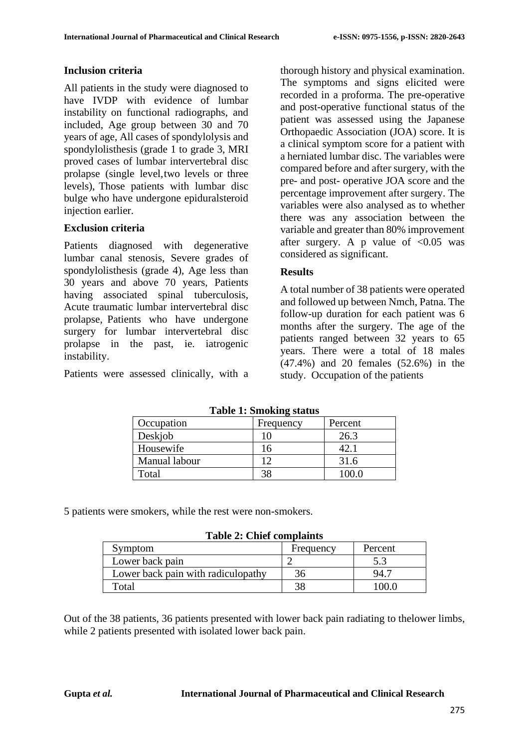### **Inclusion criteria**

All patients in the study were diagnosed to have IVDP with evidence of lumbar instability on functional radiographs, and included, Age group between 30 and 70 years of age, All cases of spondylolysis and spondylolisthesis (grade 1 to grade 3, MRI proved cases of lumbar intervertebral disc prolapse (single level,two levels or three levels), Those patients with lumbar disc bulge who have undergone epiduralsteroid injection earlier.

## **Exclusion criteria**

Patients diagnosed with degenerative lumbar canal stenosis, Severe grades of spondylolisthesis (grade 4), Age less than 30 years and above 70 years, Patients having associated spinal tuberculosis, Acute traumatic lumbar intervertebral disc prolapse, Patients who have undergone surgery for lumbar intervertebral disc prolapse in the past, ie. iatrogenic instability.

Patients were assessed clinically, with a

thorough history and physical examination. The symptoms and signs elicited were recorded in a proforma. The pre-operative and post-operative functional status of the patient was assessed using the Japanese Orthopaedic Association (JOA) score. It is a clinical symptom score for a patient with a herniated lumbar disc. The variables were compared before and after surgery, with the pre- and post- operative JOA score and the percentage improvement after surgery. The variables were also analysed as to whether there was any association between the variable and greater than 80% improvement after surgery. A p value of  $\langle 0.05 \rangle$  was considered as significant.

### **Results**

A total number of 38 patients were operated and followed up between Nmch, Patna. The follow-up duration for each patient was 6 months after the surgery. The age of the patients ranged between 32 years to 65 years. There were a total of 18 males (47.4%) and 20 females (52.6%) in the study. Occupation of the patients

| Tuon II omoning biutub |           |         |  |  |
|------------------------|-----------|---------|--|--|
| Occupation             | Frequency | Percent |  |  |
| Deskjob                |           | 26.3    |  |  |
| Housewife              | 16        |         |  |  |
| Manual labour          | ר ו       | 31.6    |  |  |
| Total                  |           | 1000    |  |  |

**Table 1: Smoking status**

5 patients were smokers, while the rest were non-smokers.

| <b>Table 2: Chief complaints</b> |  |  |  |
|----------------------------------|--|--|--|
|----------------------------------|--|--|--|

| Symptom                            | Frequency | Percent |
|------------------------------------|-----------|---------|
| Lower back pain                    |           |         |
| Lower back pain with radiculopathy | 36        | 94.     |
| Total                              |           | ነበበ ቤ   |

Out of the 38 patients, 36 patients presented with lower back pain radiating to thelower limbs, while 2 patients presented with isolated lower back pain.

#### **Gupta** *et al.* **International Journal of Pharmaceutical and Clinical Research**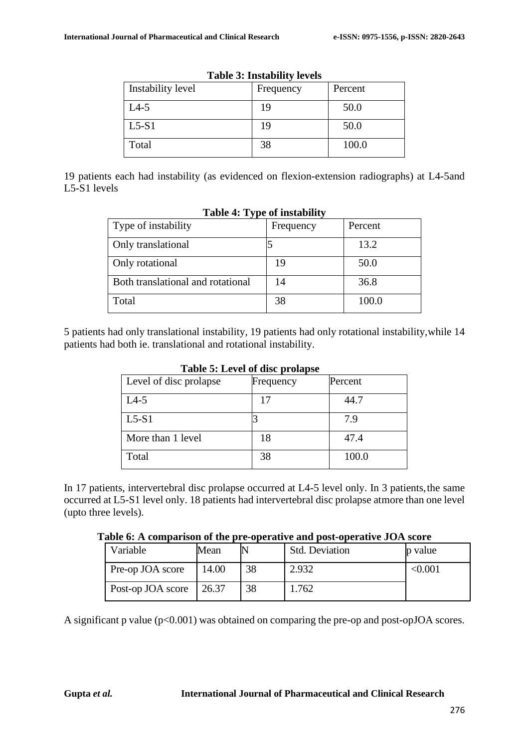| Tuble of Instabling Ict Clo |           |         |  |  |
|-----------------------------|-----------|---------|--|--|
| Instability level           | Frequency | Percent |  |  |
| $L4-5$                      | 19        | 50.0    |  |  |
| $L5-S1$                     | 19        | 50.0    |  |  |
| Total                       | 38        | 100.0   |  |  |

|  | <b>Table 3: Instability levels</b> |  |
|--|------------------------------------|--|
|--|------------------------------------|--|

19 patients each had instability (as evidenced on flexion-extension radiographs) at L4-5and L5-S1 levels

| Type of instability               | Frequency | Percent |
|-----------------------------------|-----------|---------|
| Only translational                |           | 13.2    |
| Only rotational                   | 19        | 50.0    |
| Both translational and rotational | 14        | 36.8    |
| Total                             | 38        | 100.0   |

#### **Table 4: Type of instability**

5 patients had only translational instability, 19 patients had only rotational instability, while 14 patients had both ie. translational and rotational instability.

| Tuble of Devel of the profuse |           |         |  |  |
|-------------------------------|-----------|---------|--|--|
| Level of disc prolapse        | Frequency | Percent |  |  |
| $L4-5$                        | 17        | 44.7    |  |  |
| $L5-S1$                       |           | 7.9     |  |  |
| More than 1 level             | 18        | 47.4    |  |  |
| Total                         | 38        | 100.0   |  |  |

**Table 5: Level of disc prolapse**

In 17 patients, intervertebral disc prolapse occurred at L4-5 level only. In 3 patients, the same occurred at L5-S1 level only. 18 patients had intervertebral disc prolapse atmore than one level (upto three levels).

|  |  |  | Table 6: A comparison of the pre-operative and post-operative JOA score |
|--|--|--|-------------------------------------------------------------------------|
|--|--|--|-------------------------------------------------------------------------|

| Variable          | Mean  |    | <b>Std. Deviation</b> | p value |
|-------------------|-------|----|-----------------------|---------|
| Pre-op JOA score  | 14.00 | 38 | 2.932                 | < 0.001 |
| Post-op JOA score | 26.37 | 38 | .762                  |         |

A significant p value  $(p<0.001)$  was obtained on comparing the pre-op and post-opJOA scores.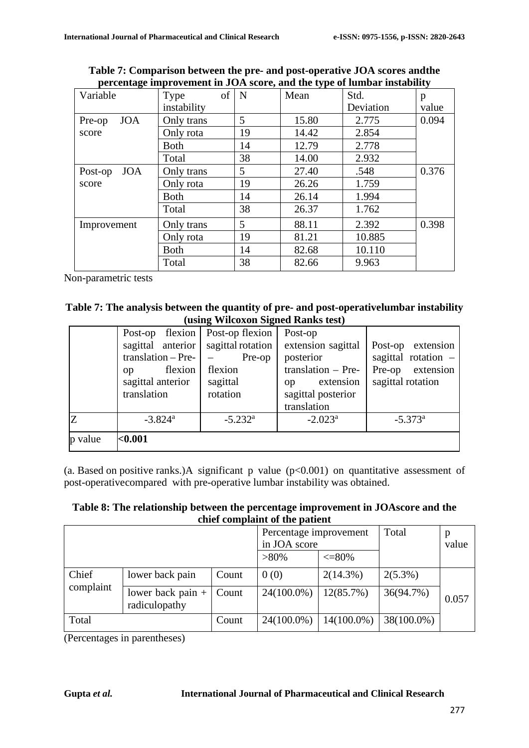| 0                     |             |    | . .   |           |       |
|-----------------------|-------------|----|-------|-----------|-------|
| Variable              | of<br>Type  | N  | Mean  | Std.      | p     |
|                       | instability |    |       | Deviation | value |
| <b>JOA</b><br>Pre-op  | Only trans  | 5  | 15.80 | 2.775     | 0.094 |
| score                 | Only rota   | 19 | 14.42 | 2.854     |       |
|                       | <b>Both</b> | 14 | 12.79 | 2.778     |       |
|                       | Total       | 38 | 14.00 | 2.932     |       |
| <b>JOA</b><br>Post-op | Only trans  | 5  | 27.40 | .548      | 0.376 |
| score                 | Only rota   | 19 | 26.26 | 1.759     |       |
|                       | <b>Both</b> | 14 | 26.14 | 1.994     |       |
|                       | Total       | 38 | 26.37 | 1.762     |       |
| Improvement           | Only trans  | 5  | 88.11 | 2.392     | 0.398 |
|                       | Only rota   | 19 | 81.21 | 10.885    |       |
|                       | <b>Both</b> | 14 | 82.68 | 10.110    |       |
|                       | Total       | 38 | 82.66 | 9.963     |       |
|                       |             |    |       |           |       |

**Table 7: Comparison between the pre- and post-operative JOA scores andthe percentage improvement in JOA score, and the type of lumbar instability**

Non-parametric tests

| Table 7: The analysis between the quantity of pre- and post-operativelumbar instability |
|-----------------------------------------------------------------------------------------|
| (using Wilcoxon Signed Ranks test)                                                      |

|         | flexion<br>Post-op    | Post-op flexion       | Post-op                     |                       |
|---------|-----------------------|-----------------------|-----------------------------|-----------------------|
|         | sagittal anterior     | sagittal rotation     | extension sagittal          | Post-op extension     |
|         | translation – Pre-    | Pre-op                | posterior                   | sagittal rotation $-$ |
|         | flexion<br>OD         | flexion               | translation - Pre-          | Pre-op<br>extension   |
|         | sagittal anterior     | sagittal              | extension<br><sub>O</sub> p | sagittal rotation     |
|         | translation           | rotation              | sagittal posterior          |                       |
|         |                       |                       | translation                 |                       |
| IZ      | $-3.824$ <sup>a</sup> | $-5.232$ <sup>a</sup> | $-2.023^a$                  | $-5.373$ <sup>a</sup> |
| p value | $0.001$               |                       |                             |                       |

(a. Based on positive ranks.)A significant p value  $(p<0.001)$  on quantitative assessment of post-operativecompared with pre-operative lumbar instability was obtained.

**Table 8: The relationship between the percentage improvement in JOAscore and the chief complaint of the patient**

|                    |                                      | Percentage improvement |               | Total         | p             |       |
|--------------------|--------------------------------------|------------------------|---------------|---------------|---------------|-------|
|                    |                                      |                        | in JOA score  |               |               | value |
|                    |                                      |                        | $>80\%$       | $\leq=80\%$   |               |       |
| Chief<br>complaint | lower back pain                      | Count                  | 0(0)          | $2(14.3\%)$   | $2(5.3\%)$    | 0.057 |
|                    | lower back pain $+$<br>radiculopathy | Count                  | 24(100.0%)    | 12(85.7%)     | 36(94.7%)     |       |
| Total              |                                      | Count                  | $24(100.0\%)$ | $14(100.0\%)$ | $38(100.0\%)$ |       |

(Percentages in parentheses)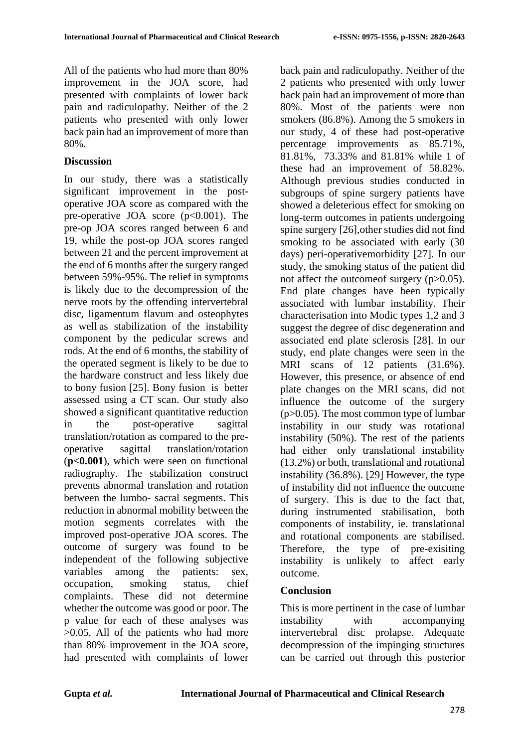All of the patients who had more than 80% improvement in the JOA score, had presented with complaints of lower back pain and radiculopathy. Neither of the 2 patients who presented with only lower back pain had an improvement of more than 80%.

## **Discussion**

In our study, there was a statistically significant improvement in the postoperative JOA score as compared with the pre-operative JOA score  $(p<0.001)$ . The pre-op JOA scores ranged between 6 and 19, while the post-op JOA scores ranged between 21 and the percent improvement at the end of 6 months after the surgery ranged between 59%-95%. The relief in symptoms is likely due to the decompression of the nerve roots by the offending intervertebral disc, ligamentum flavum and osteophytes as well as stabilization of the instability component by the pedicular screws and rods. At the end of 6 months, the stability of the operated segment is likely to be due to the hardware construct and less likely due to bony fusion [25]. Bony fusion is better assessed using a CT scan. Our study also showed a significant quantitative reduction in the post-operative sagittal translation/rotation as compared to the preoperative sagittal translation/rotation (**p<0.001**), which were seen on functional radiography. The stabilization construct prevents abnormal translation and rotation between the lumbo- sacral segments. This reduction in abnormal mobility between the motion segments correlates with the improved post-operative JOA scores. The outcome of surgery was found to be independent of the following subjective variables among the patients: sex, occupation, smoking status, chief complaints. These did not determine whether the outcome was good or poor. The p value for each of these analyses was >0.05. All of the patients who had more than 80% improvement in the JOA score, had presented with complaints of lower

back pain and radiculopathy. Neither of the 2 patients who presented with only lower back pain had an improvement of more than 80%. Most of the patients were non smokers (86.8%). Among the 5 smokers in our study, 4 of these had post-operative percentage improvements as 85.71%, 81.81%, 73.33% and 81.81% while 1 of these had an improvement of 58.82%. Although previous studies conducted in subgroups of spine surgery patients have showed a deleterious effect for smoking on long-term outcomes in patients undergoing spine surgery [26],other studies did not find smoking to be associated with early (30 days) peri-operativemorbidity [27]. In our study, the smoking status of the patient did not affect the outcome f surgery  $(p>0.05)$ . End plate changes have been typically associated with lumbar instability. Their characterisation into Modic types 1,2 and 3 suggest the degree of disc degeneration and associated end plate sclerosis [28]. In our study, end plate changes were seen in the MRI scans of 12 patients (31.6%). However, this presence, or absence of end plate changes on the MRI scans, did not influence the outcome of the surgery (p>0.05). The most common type of lumbar instability in our study was rotational instability (50%). The rest of the patients had either only translational instability (13.2%) or both, translational and rotational instability (36.8%). [29] However, the type of instability did not influence the outcome of surgery. This is due to the fact that, during instrumented stabilisation, both components of instability, ie. translational and rotational components are stabilised. Therefore, the type of pre-exisiting instability is unlikely to affect early outcome.

## **Conclusion**

This is more pertinent in the case of lumbar instability with accompanying intervertebral disc prolapse. Adequate decompression of the impinging structures can be carried out through this posterior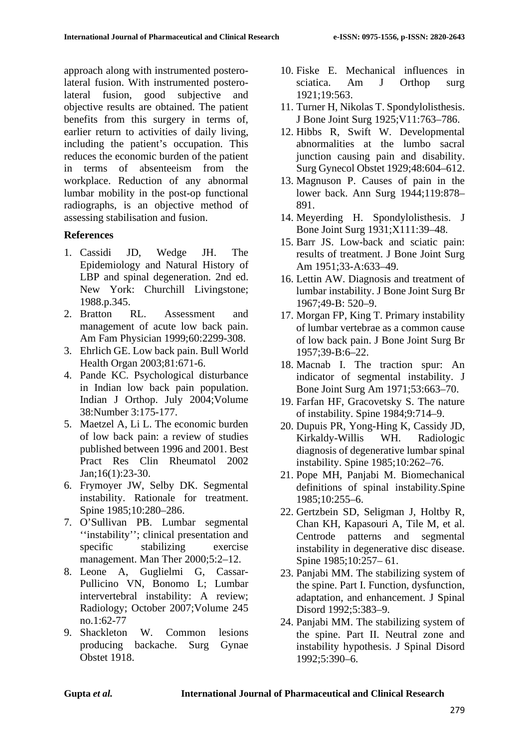approach along with instrumented posterolateral fusion. With instrumented posterolateral fusion, good subjective and objective results are obtained. The patient benefits from this surgery in terms of, earlier return to activities of daily living, including the patient's occupation. This reduces the economic burden of the patient in terms of absenteeism from the workplace. Reduction of any abnormal lumbar mobility in the post-op functional radiographs, is an objective method of assessing stabilisation and fusion.

## **References**

- 1. Cassidi JD, Wedge JH. The Epidemiology and Natural History of LBP and spinal degeneration. 2nd ed. New York: Churchill Livingstone; 1988.p.345.
- 2. Bratton RL. Assessment and management of acute low back pain. Am Fam Physician 1999;60:2299-308.
- 3. Ehrlich GE. Low back pain. Bull World Health Organ 2003;81:671-6.
- 4. Pande KC. Psychological disturbance in Indian low back pain population. Indian J Orthop. July 2004;Volume 38:Number 3:175-177.
- 5. Maetzel A, Li L. The economic burden of low back pain: a review of studies published between 1996 and 2001. Best Pract Res Clin Rheumatol 2002 Jan;16(1):23-30.
- 6. Frymoyer JW, Selby DK. Segmental instability. Rationale for treatment. Spine 1985;10:280–286.
- 7. O'Sullivan PB. Lumbar segmental ''instability''; clinical presentation and specific stabilizing exercise management. Man Ther 2000;5:2-12.
- 8. Leone A, Guglielmi G, Cassar-Pullicino VN, Bonomo L; Lumbar intervertebral instability: A review; Radiology; October 2007;Volume 245 no.1:62-77
- 9. Shackleton W. Common lesions producing backache. Surg Gynae Obstet 1918.
- 10. Fiske E. Mechanical influences in sciatica. Am J Orthop surg 1921;19:563.
- 11. Turner H, Nikolas T. Spondylolisthesis. J Bone Joint Surg 1925;V11:763–786.
- 12. Hibbs R, Swift W. Developmental abnormalities at the lumbo sacral junction causing pain and disability. Surg Gynecol Obstet 1929;48:604–612.
- 13. Magnuson P. Causes of pain in the lower back. Ann Surg 1944;119:878– 891.
- 14. Meyerding H. Spondylolisthesis. J Bone Joint Surg 1931;X111:39–48.
- 15. Barr JS. Low-back and sciatic pain: results of treatment. J Bone Joint Surg Am 1951;33-A:633–49.
- 16. Lettin AW. Diagnosis and treatment of lumbar instability. J Bone Joint Surg Br 1967;49-B: 520–9.
- 17. Morgan FP, King T. Primary instability of lumbar vertebrae as a common cause of low back pain. J Bone Joint Surg Br 1957;39-B:6–22.
- 18. Macnab I. The traction spur: An indicator of segmental instability. J Bone Joint Surg Am 1971;53:663–70.
- 19. Farfan HF, Gracovetsky S. The nature of instability. Spine 1984;9:714–9.
- 20. Dupuis PR, Yong-Hing K, Cassidy JD, Kirkaldy-Willis WH. Radiologic diagnosis of degenerative lumbar spinal instability. Spine 1985;10:262–76.
- 21. Pope MH, Panjabi M. Biomechanical definitions of spinal instability.Spine 1985;10:255–6.
- 22. Gertzbein SD, Seligman J, Holtby R, Chan KH, Kapasouri A, Tile M, et al. Centrode patterns and segmental instability in degenerative disc disease. Spine 1985;10:257– 61.
- 23. Panjabi MM. The stabilizing system of the spine. Part I. Function, dysfunction, adaptation, and enhancement. J Spinal Disord 1992;5:383–9.
- 24. Panjabi MM. The stabilizing system of the spine. Part II. Neutral zone and instability hypothesis. J Spinal Disord 1992;5:390–6.